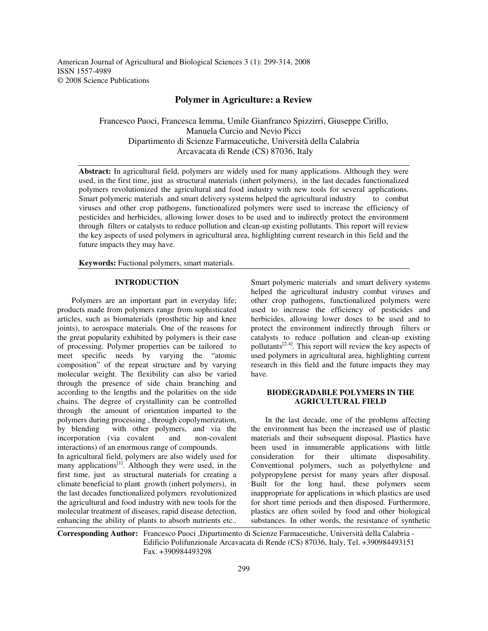American Journal of Agricultural and Biological Sciences 3 (1): 299-314, 2008 ISSN 1557-4989 © 2008 Science Publications

# **Polymer in Agriculture: a Review**

Francesco Puoci, Francesca Iemma, Umile Gianfranco Spizzirri, Giuseppe Cirillo, Manuela Curcio and Nevio Picci Dipartimento di Scienze Farmaceutiche, Università della Calabria Arcavacata di Rende (CS) 87036, Italy

**Abstract:** In agricultural field, polymers are widely used for many applications. Although they were used, in the first time, just as structural materials (inhert polymers), in the last decades functionalized polymers revolutionized the agricultural and food industry with new tools for several applications. Smart polymeric materials and smart delivery systems helped the agricultural industry to combat viruses and other crop pathogens, functionalized polymers were used to increase the efficiency of pesticides and herbicides, allowing lower doses to be used and to indirectly protect the environment through filters or catalysts to reduce pollution and clean-up existing pollutants. This report will review the key aspects of used polymers in agricultural area, highlighting current research in this field and the future impacts they may have.

**Keywords:** Fuctional polymers, smart materials.

### **INTRODUCTION**

Polymers are an important part in everyday life; products made from polymers range from sophisticated articles, such as biomaterials (prosthetic hip and knee joints), to aerospace materials. One of the reasons for the great popularity exhibited by polymers is their ease of processing. Polymer properties can be tailored to meet specific needs by varying the "atomic composition" of the repeat structure and by varying molecular weight. The flexibility can also be varied through the presence of side chain branching and according to the lengths and the polarities on the side chains. The degree of crystallinity can be controlled through the amount of orientation imparted to the polymers during processing , through copolymerization, by blending with other polymers, and via the incorporation (via covalent and non-covalent interactions) of an enormous range of compounds. In agricultural field, polymers are also widely used for

many applications<sup>[1]</sup>. Although they were used, in the first time, just as structural materials for creating a climate beneficial to plant growth (inhert polymers), in the last decades functionalized polymers revolutionized the agricultural and food industry with new tools for the molecular treatment of diseases, rapid disease detection, enhancing the ability of plants to absorb nutrients etc..

Smart polymeric materials and smart delivery systems helped the agricultural industry combat viruses and other crop pathogens, functionalized polymers were used to increase the efficiency of pesticides and herbicides, allowing lower doses to be used and to protect the environment indirectly through filters or catalysts to reduce pollution and clean-up existing pollutants<sup>[2-4]</sup>. This report will review the key aspects of used polymers in agricultural area, highlighting current research in this field and the future impacts they may have.

#### **BIODEGRADABLE POLYMERS IN THE AGRICULTURAL FIELD**

In the last decade, one of the problems affecting the environment has been the increased use of plastic materials and their subsequent disposal. Plastics have been used in innumerable applications with little consideration for their ultimate disposability. Conventional polymers, such as polyethylene and polypropylene persist for many years after disposal. Built for the long haul, these polymers seem inappropriate for applications in which plastics are used for short time periods and then disposed. Furthermore, plastics are often soiled by food and other biological substances. In other words, the resistance of synthetic

**Corresponding Author:** Francesco Puoci ,Dipartimento di Scienze Farmaceutiche, Università della Calabria - Edificio Polifunzionale Arcavacata di Rende (CS) 87036, Italy, Tel. +390984493151 Fax. +390984493298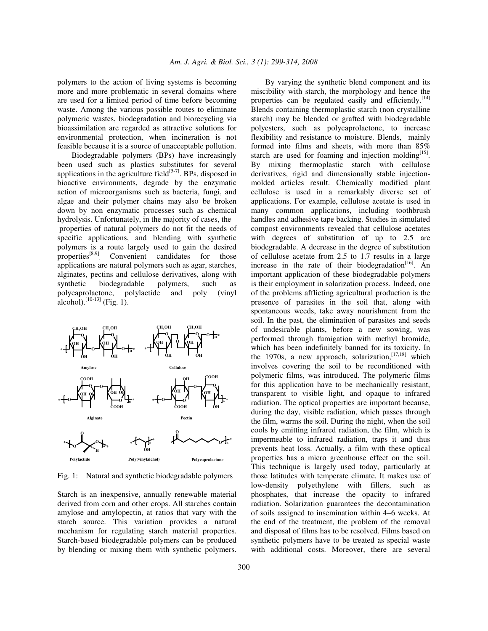polymers to the action of living systems is becoming more and more problematic in several domains where are used for a limited period of time before becoming waste. Among the various possible routes to eliminate polymeric wastes, biodegradation and biorecycling via bioassimilation are regarded as attractive solutions for environmental protection, when incineration is not feasible because it is a source of unacceptable pollution.

Biodegradable polymers (BPs) have increasingly been used such as plastics substitutes for several applications in the agriculture field $[5-7]$ . BPs, disposed in bioactive environments, degrade by the enzymatic action of microorganisms such as bacteria, fungi, and algae and their polymer chains may also be broken down by non enzymatic processes such as chemical hydrolysis. Unfortunately, in the majority of cases, the properties of natural polymers do not fit the needs of specific applications, and blending with synthetic polymers is a route largely used to gain the desired properties<sup>[8,9]</sup> Convenient candidates for those applications are natural polymers such as agar, starches, alginates, pectins and cellulose derivatives, along with synthetic biodegradable polymers, such as polycaprolactone, polylactide and poly (vinyl alcohol).  $[10-13]$  (Fig. 1).



Fig. 1: Natural and synthetic biodegradable polymers

Starch is an inexpensive, annually renewable material derived from corn and other crops. All starches contain amylose and amylopectin, at ratios that vary with the starch source. This variation provides a natural mechanism for regulating starch material properties. Starch-based biodegradable polymers can be produced by blending or mixing them with synthetic polymers.

By varying the synthetic blend component and its miscibility with starch, the morphology and hence the properties can be regulated easily and efficiently.<sup>[14]</sup> Blends containing thermoplastic starch (non crystalline starch) may be blended or grafted with biodegradable polyesters, such as polycaprolactone, to increase flexibility and resistance to moisture. Blends, mainly formed into films and sheets, with more than 85% starch are used for foaming and injection molding $^{[15]}$ . By mixing thermoplastic starch with cellulose derivatives, rigid and dimensionally stable injectionmolded articles result. Chemically modified plant cellulose is used in a remarkably diverse set of applications. For example, cellulose acetate is used in many common applications, including toothbrush handles and adhesive tape backing. Studies in simulated compost environments revealed that cellulose acetates with degrees of substitution of up to 2.5 are biodegradable. A decrease in the degree of substitution of cellulose acetate from 2.5 to 1.7 results in a large increase in the rate of their biodegradation $[16]$ . An important application of these biodegradable polymers is their employment in solarization process. Indeed, one of the problems afflicting agricultural production is the presence of parasites in the soil that, along with spontaneous weeds, take away nourishment from the soil. In the past, the elimination of parasites and seeds of undesirable plants, before a new sowing, was performed through fumigation with methyl bromide, which has been indefinitely banned for its toxicity. In the 1970s, a new approach, solarization,  $[17,18]$  which involves covering the soil to be reconditioned with polymeric films, was introduced. The polymeric films for this application have to be mechanically resistant, transparent to visible light, and opaque to infrared radiation. The optical properties are important because, during the day, visible radiation, which passes through the film, warms the soil. During the night, when the soil cools by emitting infrared radiation, the film, which is impermeable to infrared radiation, traps it and thus prevents heat loss. Actually, a film with these optical properties has a micro greenhouse effect on the soil. This technique is largely used today, particularly at those latitudes with temperate climate. It makes use of low-density polyethylene with fillers, such as phosphates, that increase the opacity to infrared radiation. Solarization guarantees the decontamination of soils assigned to insemination within 4–6 weeks. At the end of the treatment, the problem of the removal and disposal of films has to be resolved. Films based on synthetic polymers have to be treated as special waste with additional costs. Moreover, there are several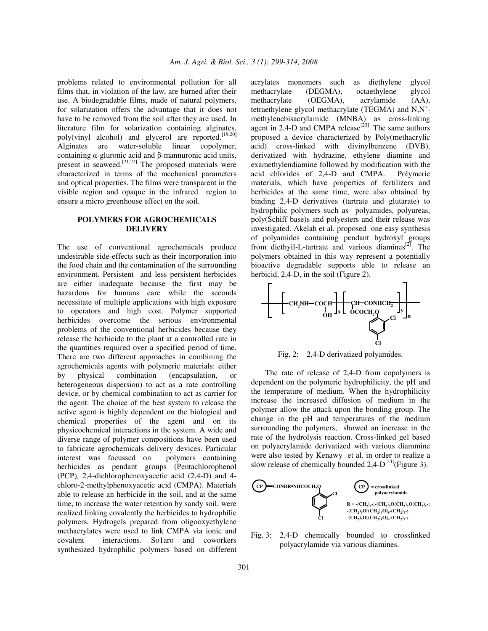problems related to environmental pollution for all films that, in violation of the law, are burned after their use. A biodegradable films, made of natural polymers, for solarization offers the advantage that it does not have to be removed from the soil after they are used. In literature film for solarization containing alginates, poly(vinyl alcohol) and glycerol are reported.<sup>[19,20]</sup> Alginates are water-soluble linear copolymer, containing  $\alpha$ -gluronic acid and  $\beta$ -mannuronic acid units, present in seaweed.<sup>[21,22]</sup> The proposed materials were characterized in terms of the mechanical parameters and optical properties. The films were transparent in the visible region and opaque in the infrared region to ensure a micro greenhouse effect on the soil.

## **POLYMERS FOR AGROCHEMICALS DELIVERY**

The use of conventional agrochemicals produce undesirable side-effects such as their incorporation into the food chain and the contamination of the surrounding environment. Persistent and less persistent herbicides are either inadequate because the first may be hazardous for humans care while the seconds necessitate of multiple applications with high exposure to operators and high cost. Polymer supported herbicides overcome the serious environmental problems of the conventional herbicides because they release the herbicide to the plant at a controlled rate in the quantities required over a specified period of time. There are two different approaches in combining the agrochemicals agents with polymeric materials: either by physical combination (encapsulation, or heterogeneous dispersion) to act as a rate controlling device, or by chemical combination to act as carrier for the agent. The choice of the best system to release the active agent is highly dependent on the biological and chemical properties of the agent and on its physicochemical interactions in the system. A wide and diverse range of polymer compositions have been used to fabricate agrochemicals delivery devices. Particular interest was focussed on polymers containing herbicides as pendant groups (Pentachlorophenol (PCP), 2,4-dichlorophenoxyacetic acid (2,4-D) and 4 chloro-2-methylphenoxyacetic acid (CMPA). Materials able to release an herbicide in the soil, and at the same time, to increase the water retention by sandy soil, were realized linking covalently the herbicides to hydrophilic polymers. Hydrogels prepared from oligooxyethylene methacrylates were used to link CMPA via ionic and covalent interactions. So1aro and coworkers synthesized hydrophilic polymers based on different acrylates monomers such as diethylene glycol methacrylate (DEGMA), octaethylene glycol methacrylate (OEGMA), acrylamide (AA), tetraethylene glycol methacrylate (TEGMA) and N,N' methylenebisacrylamide (MNBA) as cross-linking agent in 2,4-D and CMPA release $^{[23]}$ . The same authors proposed a device characterized by Poly(methacrylic acid) cross-linked with divinylbenzene (DVB), derivatized with hydrazine, ethylene diamine and examethylendiamine followed by modification with the acid chlorides of 2,4-D and CMPA. Polymeric materials, which have properties of fertilizers and herbicides at the same time, were also obtained by binding 2,4-D derivatives (tartrate and glutarate) to hydrophilic polymers such as polyamides, polyureas, poly(Schiff base)s and polyesters and their release was investigated. Akelah et al. proposed one easy synthesis of polyamides containing pendant hydroxyl groups from diethyil-L-tartrate and various diamines<sup>[2]</sup>. The polymers obtained in this way represent a potentially bioactive degradable supports able to release an herbicid, 2,4-D, in the soil (Figure 2).



Fig. 2: 2,4-D derivatized polyamides.

The rate of release of 2,4-D from copolymers is dependent on the polymeric hydrophilicity, the pH and the temperature of medium. When the hydrophilicity increase the increased diffusion of medium in the polymer allow the attack upon the bonding group. The change in the pH and temperatures of the medium surrounding the polymers, showed an increase in the rate of the hydrolysis reaction. Cross-linked gel based on polyacrylamide derivatized with various diammine were also tested by Kenawy et al. in order to realize a slow release of chemically bounded  $2,4-D^{[24]}$  (Figure 3).



Fig. 3: 2,4-D chemically bounded to crosslinked polyacrylamide via various diamines.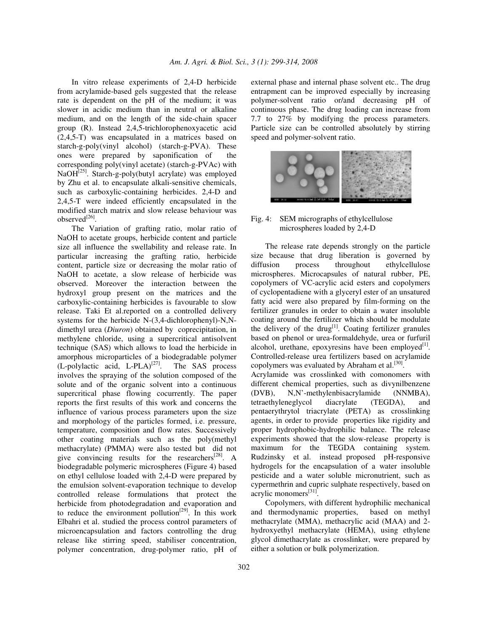In vitro release experiments of 2,4-D herbicide from acrylamide-based gels suggested that the release rate is dependent on the pH of the medium; it was slower in acidic medium than in neutral or alkaline medium, and on the length of the side-chain spacer group (R). Instead 2,4,5-trichlorophenoxyacetic acid (2,4,5-T) was encapsulated in a matrices based on starch-g-poly(vinyl alcohol) (starch-g-PVA). These ones were prepared by saponification of the corresponding poly(vinyl acetate) (starch-g-PVAc) with NaOH<sup>[25]</sup>. Starch-g-poly(butyl acrylate) was employed by Zhu et al. to encapsulate alkali-sensitive chemicals, such as carboxylic-containing herbicides. 2,4-D and 2,4,5-T were indeed efficiently encapsulated in the modified starch matrix and slow release behaviour was observed<sup>[26]</sup>.

The Variation of grafting ratio, molar ratio of NaOH to acetate groups, herbicide content and particle size all influence the swellability and release rate. In particular increasing the grafting ratio, herbicide content, particle size or decreasing the molar ratio of NaOH to acetate, a slow release of herbicide was observed. Moreover the interaction between the hydroxyl group present on the matrices and the carboxylic-containing herbicides is favourable to slow release. Taki Et al.reported on a controlled delivery systems for the herbicide N-(3,4-dichlorophenyl)-N,Ndimethyl urea (*Diuron*) obtained by coprecipitation, in methylene chloride, using a supercritical antisolvent technique (SAS) which allows to load the herbicide in amorphous microparticles of a biodegradable polymer (L-polylactic acid, L-PLA)<sup>[27]</sup> . The SAS process involves the spraying of the solution composed of the solute and of the organic solvent into a continuous supercritical phase flowing cocurrently. The paper reports the first results of this work and concerns the influence of various process parameters upon the size and morphology of the particles formed, i.e. pressure, temperature, composition and flow rates. Successively other coating materials such as the poly(methyl methacrylate) (PMMA) were also tested but did not give convincing results for the researchers<sup>[28]</sup>. A biodegradable polymeric microspheres (Figure 4) based on ethyl cellulose loaded with 2,4-D were prepared by the emulsion solvent-evaporation technique to develop controlled release formulations that protect the herbicide from photodegradation and evaporation and to reduce the environment pollution<sup>[29]</sup>. In this work Elbahri et al. studied the process control parameters of microencapsulation and factors controlling the drug release like stirring speed, stabiliser concentration, polymer concentration, drug-polymer ratio, pH of

external phase and internal phase solvent etc.. The drug entrapment can be improved especially by increasing polymer-solvent ratio or/and decreasing pH of continuous phase. The drug loading can increase from 7.7 to 27% by modifying the process parameters. Particle size can be controlled absolutely by stirring speed and polymer-solvent ratio.



## Fig. 4: SEM micrographs of ethylcellulose microspheres loaded by 2,4-D

The release rate depends strongly on the particle size because that drug liberation is governed by diffusion process throughout ethylcellulose microspheres. Microcapsules of natural rubber, PE, copolymers of VC-acrylic acid esters and copolymers of cyclopentadiene with a glyceryl ester of an unsatured fatty acid were also prepared by film-forming on the fertilizer granules in order to obtain a water insoluble coating around the fertilizer which should be modulate the delivery of the drug<sup>[1]</sup>. Coating fertilizer granules based on phenol or urea-formaldehyde, urea or furfuril alcohol, urethane, epoxyresins have been employed $[1]$ . Controlled-release urea fertilizers based on acrylamide copolymers was evaluated by Abraham et al.<sup>[30]</sup>.

Acrylamide was crosslinked with comonomers with different chemical properties, such as divynilbenzene (DVB), N,N'-methylenbisacrylamide (NNMBA), tetraethyleneglycol diacrylate (TEGDA), and pentaerythrytol triacrylate (PETA) as crosslinking agents, in order to provide properties like rigidity and proper hydrophobic-hydrophilic balance. The release experiments showed that the slow-release property is maximum for the TEGDA containing system. Rudzinsky et al. instead proposed pH-responsive hydrogels for the encapsulation of a water insoluble pesticide and a water soluble micronutrient, such as cypermethrin and cupric sulphate respectively, based on acrylic monomers<sup>[31]</sup>.

Copolymers, with different hydrophilic mechanical and thermodynamic properties, based on methyl methacrylate (MMA), methacrylic acid (MAA) and 2 hydroxyethyl methacrylate (HEMA), using ethylene glycol dimethacrylate as crosslinker, were prepared by either a solution or bulk polymerization.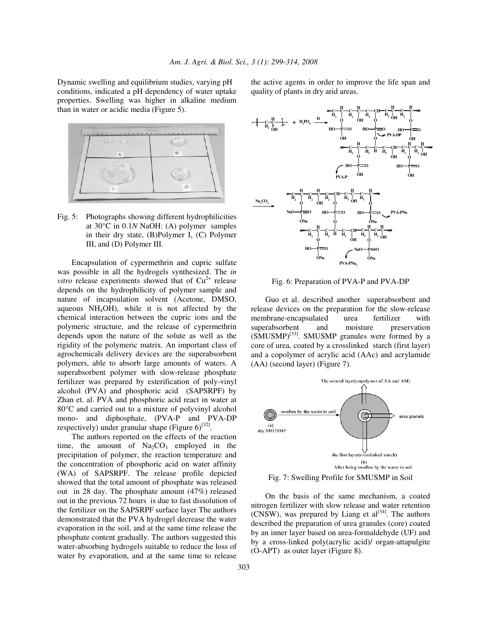Dynamic swelling and equilibrium studies, varying pH conditions, indicated a pH dependency of water uptake properties. Swelling was higher in alkaline medium than in water or acidic media (Figure 5).



Fig. 5: Photographs showing different hydrophilicities at 30°C in 0.1*N* NaOH: (A) polymer samples in their dry state, (B)Polymer I, (C) Polymer III, and (D) Polymer III.

Encapsulation of cypermethrin and cupric sulfate was possible in all the hydrogels synthesized. The *in vitro* release experiments showed that of  $Cu^{2+}$  release depends on the hydrophilicity of polymer sample and nature of incapsulation solvent (Acetone, DMSO, aqueous  $NH<sub>4</sub>OH$ , while it is not affected by the chemical interaction between the cupric ions and the polymeric structure, and the release of cypermethrin depends upon the nature of the solute as well as the rigidity of the polymeric matrix. An important class of agrochemicals delivery devices are the superabsorbent polymers, able to absorb large amounts of waters. A superabsorbent polymer with slow-release phosphate fertilizer was prepared by esterification of poly-vinyl alcohol (PVA) and phosphoric acid (SAPSRPF) by Zhan et. al. PVA and phosphoric acid react in water at 80°C and carried out to a mixture of polyvinyl alcohol mono- and diphosphate, (PVA-P and PVA-DP respectively) under granular shape (Figure  $6$ )<sup>[32]</sup>.

The authors reported on the effects of the reaction time, the amount of  $Na<sub>2</sub>CO<sub>3</sub>$  employed in the precipitation of polymer, the reaction temperature and the concentration of phosphoric acid on water affinity (WA) of SAPSRPF. The release profile depicted showed that the total amount of phosphate was released out in 28 day. The phosphate amount (47%) released out in the previous 72 hours is due to fast dissolution of the fertilizer on the SAPSRPF surface layer The authors demonstrated that the PVA hydrogel decrease the water evaporation in the soil, and at the same time release the phosphate content gradually. The authors suggested this water-absorbing hydrogels suitable to reduce the loss of water by evaporation, and at the same time to release the active agents in order to improve the life span and quality of plants in dry arid areas.



Fig. 6: Preparation of PVA-P and PVA-DP

Guo et al. described another superabsorbent and release devices on the preparation for the slow-release membrane-encapsulated urea fertilizer with superabsorbent and moisture preservation (SMUSMP)<sup>[33]</sup>. SMUSMP granules were formed by a core of urea, coated by a crosslinked starch (first layer) and a copolymer of acrylic acid (AAc) and acrylamide (AA) (second layer) (Figure 7).



Fig. 7: Swelling Profile for SMUSMP in Soil

On the basis of the same mechanism, a coated nitrogen fertilizer with slow release and water retention  $(CNSW)$ , was prepared by Liang et al<sup>[34]</sup>. The authors described the preparation of urea granules (core) coated by an inner layer based on urea-formaldehyde (UF) and by a cross-linked poly(acrylic acid)/ organ-attapulgite (O-APT) as outer layer (Figure 8).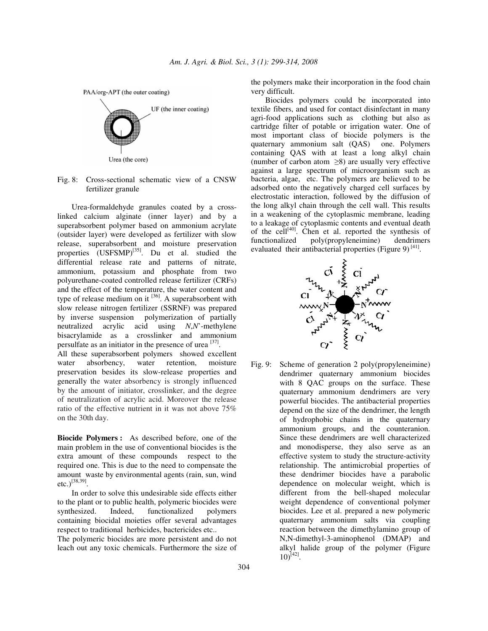



Fig. 8: Cross-sectional schematic view of a CNSW fertilizer granule

Urea-formaldehyde granules coated by a crosslinked calcium alginate (inner layer) and by a superabsorbent polymer based on ammonium acrylate (outsider layer) were developed as fertilizer with slow release, superabsorbent and moisture preservation properties (USFSMP)<sup>[35]</sup>. Du et al. studied the differential release rate and patterns of nitrate, ammonium, potassium and phosphate from two polyurethane-coated controlled release fertilizer (CRFs) and the effect of the temperature, the water content and type of release medium on it  $^{[36]}$ . A superabsorbent with slow release nitrogen fertilizer (SSRNF) was prepared by inverse suspension polymerization of partially neutralized acrylic acid using *N*,*N*'-methylene bisacrylamide as a crosslinker and ammonium persulfate as an initiator in the presence of urea [37].

All these superabsorbent polymers showed excellent water absorbency, water retention, moisture preservation besides its slow-release properties and generally the water absorbency is strongly influenced by the amount of initiator, crosslinker, and the degree of neutralization of acrylic acid. Moreover the release ratio of the effective nutrient in it was not above 75% on the 30th day.

**Biocide Polymers :** As described before, one of the main problem in the use of conventional biocides is the extra amount of these compounds respect to the required one. This is due to the need to compensate the amount waste by environmental agents (rain, sun, wind etc.) [38,39] .

In order to solve this undesirable side effects either to the plant or to public health, polymeric biocides were synthesized. Indeed, functionalized polymers containing biocidal moieties offer several advantages respect to traditional herbicides, bactericides etc..

The polymeric biocides are more persistent and do not leach out any toxic chemicals. Furthermore the size of

the polymers make their incorporation in the food chain very difficult.

Biocides polymers could be incorporated into textile fibers, and used for contact disinfectant in many agri-food applications such as clothing but also as cartridge filter of potable or irrigation water. One of most important class of biocide polymers is the quaternary ammonium salt (QAS) one. Polymers containing QAS with at least a long alkyl chain (number of carbon atom  $\geq 8$ ) are usually very effective against a large spectrum of microorganism such as bacteria, algae, etc. The polymers are believed to be adsorbed onto the negatively charged cell surfaces by electrostatic interaction, followed by the diffusion of the long alkyl chain through the cell wall. This results in a weakening of the cytoplasmic membrane, leading to a leakage of cytoplasmic contents and eventual death of the cell<sup>[40]</sup>. Chen et al. reported the synthesis of functionalized poly(propyleneimine) dendrimers evaluated their antibacterial properties (Figure 9)<sup>[41]</sup>.



Fig. 9: Scheme of generation 2 poly(propyleneimine) dendrimer quaternary ammonium biocides with 8 QAC groups on the surface. These quaternary ammonium dendrimers are very powerful biocides. The antibacterial properties depend on the size of the dendrimer, the length of hydrophobic chains in the quaternary ammonium groups, and the counteranion. Since these dendrimers are well characterized and monodisperse, they also serve as an effective system to study the structure-activity relationship. The antimicrobial properties of these dendrimer biocides have a parabolic dependence on molecular weight, which is different from the bell-shaped molecular weight dependence of conventional polymer biocides. Lee et al. prepared a new polymeric quaternary ammonium salts via coupling reaction between the dimethylamino group of N,N-dimethyl-3-aminophenol (DMAP) and alkyl halide group of the polymer (Figure  $10)^{[42]}$ .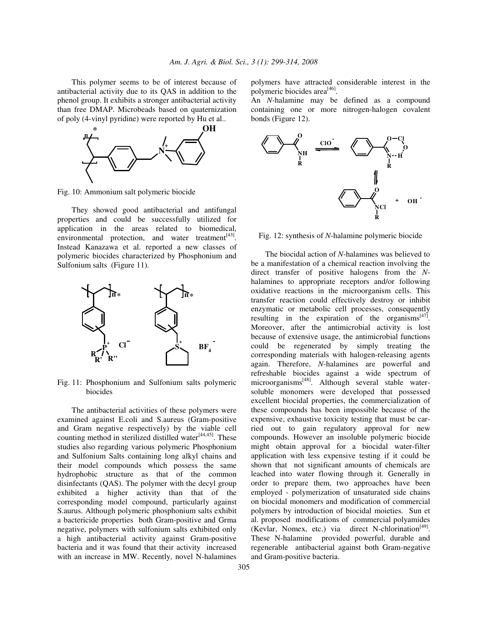This polymer seems to be of interest because of antibacterial activity due to its QAS in addition to the phenol group. It exhibits a stronger antibacterial activity than free DMAP. Microbeads based on quaternization of poly (4-vinyl pyridine) were reported by Hu et al..



Fig. 10: Ammonium salt polymeric biocide

They showed good antibacterial and antifungal properties and could be successfully utilized for application in the areas related to biomedical, environmental protection, and water treatment<sup>[43]</sup>. Instead Kanazawa et al. reported a new classes of polymeric biocides characterized by Phosphonium and Sulfonium salts (Figure 11).



Fig. 11: Phosphonium and Sulfonium salts polymeric biocides

The antibacterial activities of these polymers were examined against E.coli and S.aureus (Gram-positive and Gram negative respectively) by the viable cell counting method in sterilized distilled water $[44,45]$ . These studies also regarding various polymeric Phosphonium and Sulfonium Salts containing long alkyl chains and their model compounds which possess the same hydrophobic structure as that of the common disinfectants (QAS). The polymer with the decyl group exhibited a higher activity than that of the corresponding model compound, particularly against S.aurus. Although polymeric phosphonium salts exhibit a bactericide properties both Gram-positive and Grma negative, polymers with sulfonium salts exhibited only a high antibacterial activity against Gram-positive bacteria and it was found that their activity increased with an increase in MW. Recently, novel N-halamines polymers have attracted considerable interest in the polymeric biocides area<sup>[46]</sup>.

An *N*-halamine may be defined as a compound containing one or more nitrogen-halogen covalent bonds (Figure 12).



Fig. 12: synthesis of *N*-halamine polymeric biocide

The biocidal action of *N*-halamines was believed to be a manifestation of a chemical reaction involving the direct transfer of positive halogens from the *N*halamines to appropriate receptors and/or following oxidative reactions in the microorganism cells. This transfer reaction could effectively destroy or inhibit enzymatic or metabolic cell processes, consequently resulting in the expiration of the organisms $^{[47]}$ . Moreover, after the antimicrobial activity is lost because of extensive usage, the antimicrobial functions could be regenerated by simply treating the corresponding materials with halogen-releasing agents again. Therefore, *N*-halamines are powerful and refreshable biocides against a wide spectrum of microorganisms<sup>[48]</sup>. Although several stable watersoluble monomers were developed that possessed excellent biocidal properties, the commercialization of these compounds has been impossible because of the expensive, exhaustive toxicity testing that must be carried out to gain regulatory approval for new compounds. However an insoluble polymeric biocide might obtain approval for a biocidal water-filter application with less expensive testing if it could be shown that not significant amounts of chemicals are leached into water flowing through it. Generally in order to prepare them, two approaches have been employed - polymerization of unsaturated side chains on biocidal monomers and modification of commercial polymers by introduction of biocidal moieties. Sun et al. proposed modifications of commercial polyamides (Kevlar, Nomex, etc.) via direct N-chlorination<sup>[49]</sup>. These N-halamine provided powerful, durable and regenerable antibacterial against both Gram-negative and Gram-positive bacteria.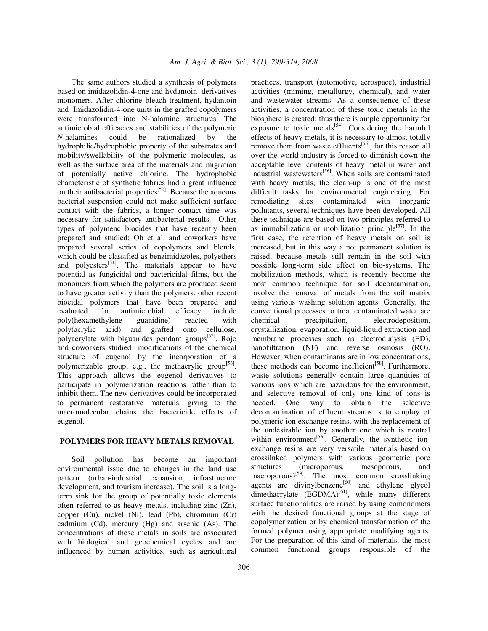The same authors studied a synthesis of polymers based on imidazolidin-4-one and hydantoin derivatives monomers. After chlorine bleach treatment, hydantoin and Imidazolidin-4-one units in the grafted copolymers were transformed into N-halamine structures. The antimicrobial efficacies and stabilities of the polymeric *N*-halamines could be rationalized by the hydrophilic/hydrophobic property of the substrates and mobility/swellability of the polymeric molecules, as well as the surface area of the materials and migration of potentially active chlorine. The hydrophobic characteristic of synthetic fabrics had a great influence on their antibacterial properties<sup>[50]</sup>. Because the aqueous bacterial suspension could not make sufficient surface contact with the fabrics, a longer contact time was necessary for satisfactory antibacterial results. Other types of polymenc biocides that have recently been prepared and studied; Oh et al. and coworkers have prepared several series of copolymers and blends, which could be classified as benzimidazoles, polyethers and polyesters $^{[51]}$ . The materials appear to have potential as fungicidal and bactericidal films, but the monomers from which the polymers are produced seem to have greater activity than the polymers. other recent biocidal polymers that have been prepared and evaluated for antimicrobial efficacy include poly(hexamethylene guanidine) reacted with poly(acrylic acid) and grafted onto cellulose, polyacrylate with biguanides pendant groups<sup>[52]</sup>. Rojo and coworkers studied modifications of the chemical structure of eugenol by the incorporation of a polymerizable group, e.g., the methacrylic group<sup>[53]</sup>. This approach allows the eugenol derivatives to participate in polymerization reactions rather than to inhibit them. The new derivatives could be incorporated to permanent restorative materials, giving to the macromolecular chains the bactericide effects of eugenol.

#### **POLYMERS FOR HEAVY METALS REMOVAL**

Soil pollution has become an important environmental issue due to changes in the land use pattern (urban-industrial expansion, infrastructure development, and tourism increase). The soil is a longterm sink for the group of potentially toxic elements often referred to as heavy metals, including zinc (Zn), copper (Cu), nickel (Ni), lead (Pb), chromium (Cr) cadmium (Cd), mercury (Hg) and arsenic (As). The concentrations of these metals in soils are associated with biological and geochemical cycles and are influenced by human activities, such as agricultural practices, transport (automotive, aerospace), industrial activities (miming, metallurgy, chemical), and water and wastewater streams. As a consequence of these activities, a concentration of these toxic metals in the biosphere is created; thus there is ample opportunity for exposure to toxic metals $^{[54]}$ . Considering the harmful effects of heavy metals, it is necessary to almost totally remove them from waste effluents<sup>[55]</sup>, for this reason all over the world industry is forced to diminish down the acceptable level contents of heavy metal in water and industrial wastewaters<sup>[56]</sup>. When soils are contaminated with heavy metals, the clean-up is one of the most difficult tasks for environmental engineering. For remediating sites contaminated with inorganic pollutants, several techniques have been developed. All these technique are based on two principles referred to as immobilization or mobilization principle<sup>[57]</sup>. In the first case, the retention of heavy metals on soil is increased, but in this way a not permanent solution is raised, because metals still remain in the soil with possible long-term side effect on bio-systems. The mobilization methods, which is recently become the most common technique for soil decontamination, involve the removal of metals from the soil matrix using various washing solution agents. Generally, the conventional processes to treat contaminated water are chemical precipitation, electrodeposition, crystallization, evaporation, liquid-liquid extraction and membrane processes such as electrodialysis (ED), nanofiltration (NF) and reverse osmosis (RO). However, when contaminants are in low concentrations, these methods can become inefficient<sup>[58]</sup>. Furthermore, waste solutions generally contain large quantities of various ions which are hazardous for the environment, and selective removal of only one kind of ions is needed. One way to obtain the selective decontamination of effluent streams is to employ of polymeric ion exchange resins, with the replacement of the undesirable ion by another one which is neutral within environment<sup>[56]</sup>. Generally, the synthetic ionexchange resins are very versatile materials based on crossilnked polymers with various geometric pore structures (microporous, mesoporous, and macroporous)<sup>[59]</sup>. The most common crosslinking agents are divinylbenzene<sup>[60]</sup> and ethylene glycol dimethacrylate (EGDMA)<sup>[61]</sup>, while many different surface functionalities are raised by using comonomers with the desired functional groups at the stage of copolymerization or by chemical transformation of the formed polymer using appropriate modifying agents. For the preparation of this kind of materials, the most common functional groups responsible of the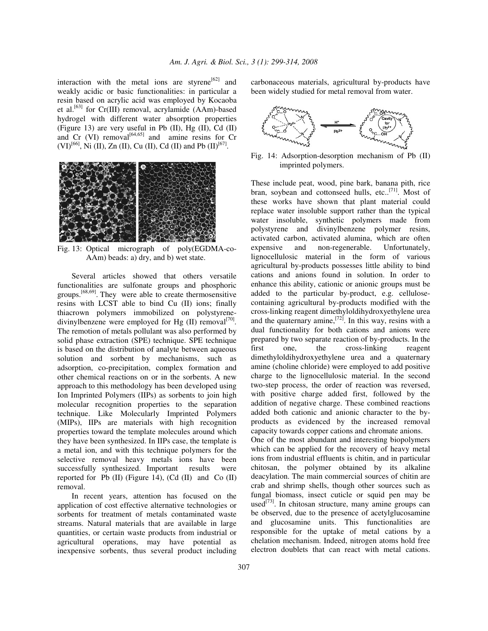interaction with the metal ions are styrene  $[62]$  and weakly acidic or basic functionalities: in particular a resin based on acrylic acid was employed by Kocaoba et al.<sup>[63]</sup> for Cr(III) removal, acrylamide (AAm)-based hydrogel with different water absorption properties (Figure 13) are very useful in Pb  $(II)$ ,  $Hg (II)$ ,  $Cd (II)$ and Cr (VI) removal $[64, 65]$  and amine resins for Cr  $(VI)^{[66]}$ , Ni (II), Zn (II), Cu (II), Cd (II) and Pb (II)<sup>[67]</sup>.



Fig. 13: Optical micrograph of poly(EGDMA-co-AAm) beads: a) dry, and b) wet state.

Several articles showed that others versatile functionalities are sulfonate groups and phosphoric groups.<sup>[68,69]</sup>. They were able to create thermosensitive resins with LCST able to bind Cu (II) ions; finally thiacrown polymers immobilized on polystyrenedivinylbenzene were employed for Hg  $(II)$  removal<sup>[70]</sup>. The remotion of metals pollulant was also performed by solid phase extraction (SPE) technique. SPE technique is based on the distribution of analyte between aqueous solution and sorbent by mechanisms, such as adsorption, co-precipitation, complex formation and other chemical reactions on or in the sorbents. A new approach to this methodology has been developed using Ion Imprinted Polymers (IIPs) as sorbents to join high molecular recognition properties to the separation technique. Like Molecularly Imprinted Polymers (MIPs), IIPs are materials with high recognition properties toward the template molecules around which they have been synthesized. In IIPs case, the template is a metal ion, and with this technique polymers for the selective removal heavy metals ions have been successfully synthesized. Important results were reported for Pb  $(II)$  (Figure 14),  $(Cd (II)$  and  $Co (II)$ removal.

In recent years, attention has focused on the application of cost effective alternative technologies or sorbents for treatment of metals contaminated waste streams. Natural materials that are available in large quantities, or certain waste products from industrial or agricultural operations, may have potential as inexpensive sorbents, thus several product including

carbonaceous materials, agricultural by-products have been widely studied for metal removal from water.



Fig. 14: Adsorption-desorption mechanism of Pb (II) imprinted polymers.

These include peat, wood, pine bark, banana pith, rice bran, soybean and cottonseed hulls, etc..<sup>[71]</sup>. Most of these works have shown that plant material could replace water insoluble support rather than the typical water insoluble, synthetic polymers made from polystyrene and divinylbenzene polymer resins, activated carbon, activated alumina, which are often expensive and non-regenerable. Unfortunately, lignocellulosic material in the form of various agricultural by-products possesses little ability to bind cations and anions found in solution. In order to enhance this ability, cationic or anionic groups must be added to the particular by-product, e.g. cellulosecontaining agricultural by-products modified with the cross-linking reagent dimethyloldihydroxyethylene urea and the quaternary amine,  $[72]$ . In this way, resins with a dual functionality for both cations and anions were prepared by two separate reaction of by-products. In the first one, the cross-linking reagent dimethyloldihydroxyethylene urea and a quaternary amine (choline chloride) were employed to add positive charge to the lignocellulosic material. In the second two-step process, the order of reaction was reversed, with positive charge added first, followed by the addition of negative charge. These combined reactions added both cationic and anionic character to the byproducts as evidenced by the increased removal capacity towards copper cations and chromate anions.

One of the most abundant and interesting biopolymers which can be applied for the recovery of heavy metal ions from industrial effluents is chitin, and in particular chitosan, the polymer obtained by its alkaline deacylation. The main commercial sources of chitin are crab and shrimp shells, though other sources such as fungal biomass, insect cuticle or squid pen may be used<sup>[73]</sup>. In chitosan structure, many amine groups can be observed, due to the presence of acetylglucosamine and glucosamine units. This functionalities are responsible for the uptake of metal cations by a chelation mechanism. Indeed, nitrogen atoms hold free electron doublets that can react with metal cations.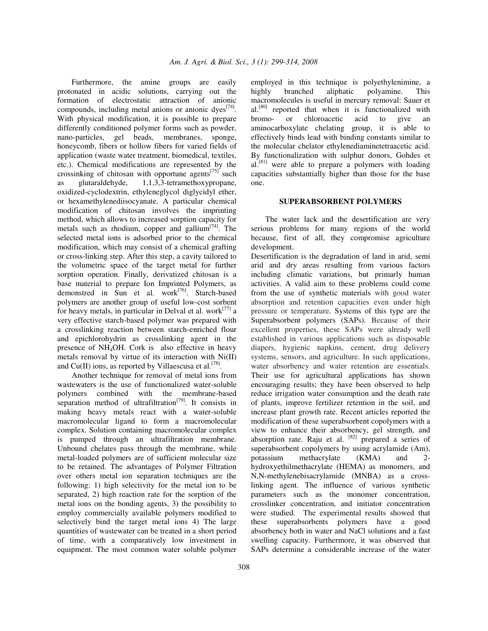Furthermore, the amine groups are easily protonated in acidic solutions, carrying out the formation of electrostatic attraction of anionic compounds, including metal anions or anionic dyes<sup>[74]</sup>. With physical modification, it is possible to prepare differently conditioned polymer forms such as powder, nano-particles, gel beads, membranes, sponge, honeycomb, fibers or hollow fibers for varied fields of application (waste water treatment, biomedical, textiles, etc.). Chemical modifications are represented by the crossinking of chitosan with opportune agents<sup>[75]</sup> such as glutaraldehyde, 1,1,3,3-tetramethoxypropane, oxidized-cyclodextrin, ethyleneglycol diglycidyl ether, or hexamethylenediisocyanate. A particular chemical modification of chitosan involves the imprinting method, which allows to increased sorption capacity for metals such as rhodium, copper and gallium<sup>[74]</sup>. The selected metal ions is adsorbed prior to the chemical modification, which may consist of a chemical grafting or cross-linking step. After this step, a cavity tailored to the volumetric space of the target metal for further sorption operation. Finally, derivatized chitosan is a base material to prepare Ion Imprinted Polymers, as demonstred in Sun et al. work<sup>[76]</sup>. Starch-based polymers are another group of useful low-cost sorbent for heavy metals, in particular in Delval et al. work<sup>[77]</sup> a very effective starch-based polymer was prepared with a crosslinking reaction between starch-enriched flour and epichlorohydrin as crosslinking agent in the presence of NH4OH. Cork is also effective in heavy metals removal by virtue of its interaction with Ni(II) and Cu(II) ions, as reported by Villaescusa et al.<sup>[78]</sup>.

Another technique for removal of metal ions from wastewaters is the use of functionalized water-soluble polymers combined with the membrane-based separation method of ultrafiltration<sup>[79]</sup>. It consists in making heavy metals react with a water-soluble macromolecular ligand to form a macromolecular complex. Solution containing macromolecular complex is pumped through an ultrafiltration membrane. Unbound chelates pass through the membrane, while metal-loaded polymers are of sufficient molecular size to be retained. The advantages of Polymer Filtration over others metal ion separation techniques are the following: 1) high selectivity for the metal ion to be separated, 2) high reaction rate for the sorption of the metal ions on the bonding agents, 3) the possibility to employ commercially available polymers modified to selectively bind the target metal ions 4) The large quantities of wastewater can be treated in a short period of time, with a comparatively low investment in equipment. The most common water soluble polymer

employed in this technique is polyethylenimine, a highly branched aliphatic polyamine. This macromolecules is useful in mercury removal: Sauer et al.<sup>[80]</sup> reported that when it is functionalized with bromo- or chloroacetic acid to give an aminocarboxylate chelating group, it is able to effectively binds lead with binding constants similar to the molecular chelator ethylenediaminetetraacetic acid. By functionalization with sulphur donors, Gohdes et al.<sup>[81]</sup> were able to prepare a polymers with loading capacities substantially higher than those for the base one.

#### **SUPERABSORBENT POLYMERS**

The water lack and the desertification are very serious problems for many regions of the world because, first of all, they compromise agriculture development.

Desertification is the degradation of land in arid, semi arid and dry areas resulting from various factors including climatic variations, but primarly human activities. A valid aim to these problems could come from the use of synthetic materials with good water absorption and retention capacities even under high pressure or temperature. Systems of this type are the Superabsorbent polymers (SAPs). Because of their excellent properties, these SAPs were already well established in various applications such as disposable diapers, hygienic napkins, cement, drug delivery systems, sensors, and agriculture. In such applications, water absorbency and water retention are essentials. Their use for agricultural applications has shown encouraging results; they have been observed to help reduce irrigation water consumption and the death rate of plants, improve fertilizer retention in the soil, and increase plant growth rate. Recent articles reported the modification of these superabsorbent copolymers with a view to enhance their absorbency, gel strength, and absorption rate. Raju et al.  $[82]$  prepared a series of superabsorbent copolymers by using acrylamide (Am), potassium methacrylate (KMA) and 2 hydroxyethilmethacrylate (HEMA) as monomers, and N,N-methylenebisacrylamide (MNBA) as a crosslinking agent. The influence of various synthetic parameters such as the monomer concentration, crosslinker concentration, and initiator concentration were studied. The experimental results showed that these superabsorbents polymers have a good absorbency both in water and NaCl solutions and a fast swelling capacity. Furthermore, it was observed that SAPs determine a considerable increase of the water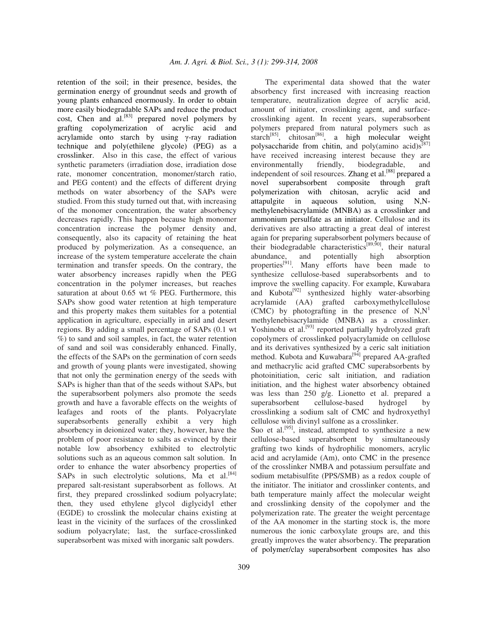retention of the soil; in their presence, besides, the germination energy of groundnut seeds and growth of young plants enhanced enormously. In order to obtain more easily biodegradable SAPs and reduce the product cost, Chen and al.<sup>[83]</sup> prepared novel polymers by grafting copolymerization of acrylic acid and acrylamide onto starch by using  $\gamma$ -ray radiation technique and poly(ethilene glycole) (PEG) as a crosslinker. Also in this case, the effect of various synthetic parameters (irradiation dose, irradiation dose rate, monomer concentration, monomer/starch ratio, and PEG content) and the effects of different drying methods on water absorbency of the SAPs were studied. From this study turned out that, with increasing of the monomer concentration, the water absorbency decreases rapidly. This happen because high monomer concentration increase the polymer density and, consequently, also its capacity of retaining the heat produced by polymerization. As a consequence, an increase of the system temperature accelerate the chain termination and transfer speeds. On the contrary, the water absorbency increases rapidly when the PEG concentration in the polymer increases, but reaches saturation at about 0.65 wt % PEG. Furthermore, this SAPs show good water retention at high temperature and this property makes them suitables for a potential application in agriculture, especially in arid and desert regions. By adding a small percentage of SAPs (0.1 wt %) to sand and soil samples, in fact, the water retention of sand and soil was considerably enhanced. Finally, the effects of the SAPs on the germination of corn seeds and growth of young plants were investigated, showing that not only the germination energy of the seeds with SAPs is higher than that of the seeds without SAPs, but the superabsorbent polymers also promote the seeds growth and have a favorable effects on the weights of leafages and roots of the plants. Polyacrylate superabsorbents generally exhibit a very high absorbency in deionized water; they, however, have the problem of poor resistance to salts as evinced by their notable low absorbency exhibited to electrolytic solutions such as an aqueous common salt solution. In order to enhance the water absorbency properties of SAPs in such electrolytic solutions, Ma et al.<sup>[84]</sup> prepared salt-resistant superabsorbent as follows. At first, they prepared crosslinked sodium polyacrylate; then, they used ethylene glycol diglycidyl ether (EGDE) to crosslink the molecular chains existing at least in the vicinity of the surfaces of the crosslinked sodium polyacrylate; last, the surface-crosslinked superabsorbent was mixed with inorganic salt powders.

309

The experimental data showed that the water absorbency first increased with increasing reaction temperature, neutralization degree of acrylic acid, amount of initiator, crosslinking agent, and surfacecrosslinking agent. In recent years, superabsorbent polymers prepared from natural polymers such as starch<sup>[85]</sup>, chitosan<sup>[86]</sup>, a high molecular weight polysaccharide from chitin, and poly(amino acid)s<sup>[87]</sup> have received increasing interest because they are environmentally friendly, biodegradable, and independent of soil resources. Zhang et al.<sup>[88]</sup> prepared a novel superabsorbent composite through graft polymerization with chitosan, acrylic acid and attapulgite in aqueous solution, using N,Nmethylenebisacrylamide (MNBA) as a crosslinker and ammonium persulfate as an initiator. Cellulose and its derivatives are also attracting a great deal of interest again for preparing superabsorbent polymers because of their biodegradable characteristics<sup>[89,90]</sup>, their natural abundance, and potentially high absorption properties<sup>[91]</sup>. Many efforts have been made to synthesize cellulose-based superabsorbents and to improve the swelling capacity. For example, Kuwabara and Kubota<sup>[92]</sup> synthesized highly water-absorbing acrylamide (AA) grafted carboxymethylcellulose (CMC) by photografting in the presence of  $N, N<sup>1</sup>$ methylenebisacrylamide (MNBA) as a crosslinker. Yoshinobu et al.<sup>[93]</sup> reported partially hydrolyzed graft copolymers of crosslinked polyacrylamide on cellulose and its derivatives synthesized by a ceric salt initiation method. Kubota and Kuwabara<sup>[94]</sup> prepared AA-grafted and methacrylic acid grafted CMC superabsorbents by photoinitiation, ceric salt initiation, and radiation initiation, and the highest water absorbency obtained was less than 250 g/g. Lionetto et al. prepared a superabsorbent cellulose-based hydrogel by crosslinking a sodium salt of CMC and hydroxyethyl cellulose with divinyl sulfone as a crosslinker. Suo et al.<sup>[95]</sup>, instead, attempted to synthesize a new

cellulose-based superabsorbent by simultaneously grafting two kinds of hydrophilic monomers, acrylic acid and acrylamide (Am), onto CMC in the presence of the crosslinker NMBA and potassium persulfate and sodium metabisulfite (PPS/SMB) as a redox couple of the initiator. The initiator and crosslinker contents, and bath temperature mainly affect the molecular weight and crosslinking density of the copolymer and the polymerization rate. The greater the weight percentage of the AA monomer in the starting stock is, the more numerous the ionic carboxylate groups are, and this greatly improves the water absorbency. The preparation of polymer/clay superabsorbent composites has also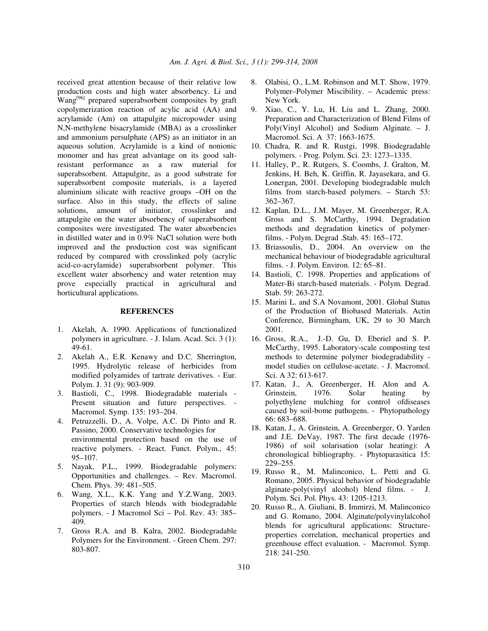received great attention because of their relative low production costs and high water absorbency. Li and Wang<sup>[96]</sup> prepared superabsorbent composites by graft copolymerization reaction of acylic acid (AA) and acrylamide (Am) on attapulgite micropowder using N,N-methylene bisacrylamide (MBA) as a crosslinker and ammonium persulphate (APS) as an initiator in an aqueous solution. Acrylamide is a kind of nonionic monomer and has great advantage on its good saltresistant performance as a raw material for superabsorbent. Attapulgite, as a good substrate for superabsorbent composite materials, is a layered aluminium silicate with reactive groups –OH on the surface. Also in this study, the effects of saline solutions, amount of initiator, crosslinker and attapulgite on the water absorbency of superabsorbent composites were investigated. The water absorbencies in distilled water and in 0.9% NaCl solution were both improved and the production cost was significant reduced by compared with crosslinked poly (acrylic acid-co-acrylamide) superabsorbent polymer. This excellent water absorbency and water retention may prove especially practical in agricultural and horticultural applications.

#### **REFERENCES**

- 1. Akelah, A. 1990. Applications of functionalized polymers in agriculture. - J. Islam. Acad. Sci. 3 (1): 49-61.
- 2. Akelah A., E.R. Kenawy and D.C. Sherrington, 1995. Hydrolytic release of herbicides from modified polyamides of tartrate derivatives. - Eur. Polym. J. 31 (9): 903-909.
- 3. Bastioli, C., 1998. Biodegradable materials Present situation and future perspectives. - Macromol. Symp. 135: 193–204.
- 4. Petruzzelli, D., A. Volpe, A.C. Di Pinto and R. Passino, 2000. Conservative technologies for environmental protection based on the use of reactive polymers. - React. Funct. Polym., 45: 95–107.
- 5. Nayak, P.L., 1999. Biodegradable polymers: Opportunities and challenges. – Rev. Macromol. Chem. Phys. 39: 481–505.
- 6. Wang, X.L., K.K. Yang and Y.Z.Wang, 2003. Properties of starch blends with biodegradable polymers. - J Macromol Sci – Pol. Rev. 43: 385– 409.
- 7. Gross R.A. and B. Kalra, 2002. Biodegradable Polymers for the Environment. - Green Chem. 297: 803-807.
- 8. Olabisi, O., L.M. Robinson and M.T. Show, 1979. Polymer–Polymer Miscibility. – Academic press: New York.
- 9. Xiao, C., Y. Lu, H. Liu and L. Zhang, 2000. Preparation and Characterization of Blend Films of Poly(Vinyl Alcohol) and Sodium Alginate. – J. Macromol. Sci. A 37: 1663-1675.
- 10. Chadra, R. and R. Rustgi, 1998. Biodegradable polymers. - Prog. Polym. Sci. 23: 1273–1335.
- 11. Halley, P., R. Rutgers, S. Coombs, J. Gralton, M. Jenkins, H. Beh, K. Griffin, R. Jayasekara, and G. Lonergan, 2001. Developing biodegradable mulch films from starch-based polymers. – Starch 53: 362–367.
- 12. Kaplan, D.L., J.M. Mayer, M. Greenberger, R.A. Gross and S. McCarthy, 1994. Degradation methods and degradation kinetics of polymerfilms. - Polym. Degrad .Stab. 45: 165–172.
- 13. Briassoulis, D., 2004. An overview on the mechanical behaviour of biodegradable agricultural films. - J. Polym. Environ. 12: 65–81.
- 14. Bastioli, C. 1998. Properties and applications of Mater-Bi starch-based materials. - Polym. Degrad. Stab. 59: 263-272.
- 15. Marini L. and S.A Novamont, 2001. Global Status of the Production of Biobased Materials. Actin Conference, Birmingham, UK, 29 to 30 March 2001.
- 16. Gross, R.A., J.-D. Gu, D. Eberiel and S. P. McCarthy, 1995. Laboratory-scale composting test methods to determine polymer biodegradability model studies on cellulose-acetate. - J. Macromol. Sci. A 32: 613-617.
- 17. Katan, J., A. Greenberger, H. Alon and A. Grinstein, 1976. Solar heating by polyethylene mulching for control ofdiseases caused by soil-bome pathogens. - Phytopathology 66: 683–688.
- 18. Katan, J., A. Grinstein, A. Greenberger, O. Yarden and J.E. DeVay, 1987. The first decade (1976- 1986) of soil solarisation (solar heating): A chronological bibliography. - Phytoparasitica 15: 229–255.
- 19. Russo R., M. Malinconico, L. Petti and G. Romano, 2005. Physical behavior of biodegradable alginate-poly(vinyl alcohol) blend films. - J. Polym. Sci. Pol. Phys. 43: 1205-1213.
- 20. Russo R., A. Giuliani, B. Immirzi, M. Malinconico and G. Romano, 2004. Alginate/polyvinylalcohol blends for agricultural applications: Structureproperties correlation, mechanical properties and greenhouse effect evaluation. - Macromol. Symp. 218: 241-250.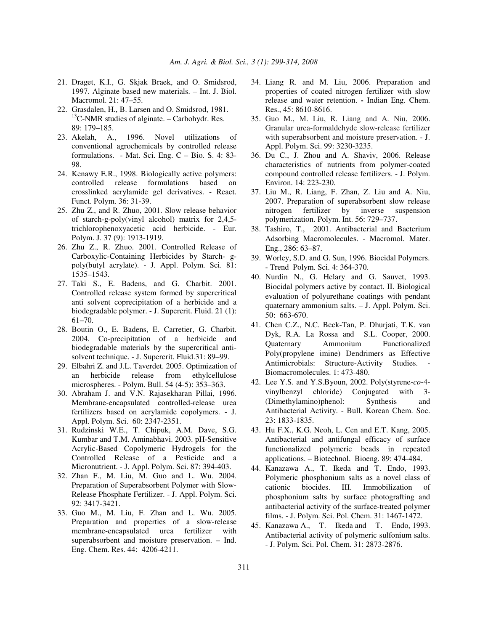- 21. Draget, K.I., G. Skjak Braek, and O. Smidsrod, 1997. Alginate based new materials. – Int. J. Biol. Macromol. 21: 47–55.
- 22. Grasdalen, H., B. Larsen and O. Smidsrod, 1981.  $^{13}$ C-NMR studies of alginate. – Carbohydr. Res. 89: 179–185.
- 23. Akelah, A., 1996. Novel utilizations of conventional agrochemicals by controlled release formulations. - Mat. Sci. Eng. C – Bio. S. 4: 83- 98.
- 24. Kenawy E.R., 1998. Biologically active polymers: controlled release formulations based on crosslinked acrylamide gel derivatives. - React. Funct. Polym. 36: 31-39.
- 25. Zhu Z., and R. Zhuo, 2001. Slow release behavior of starch-g-poly(vinyl alcohol) matrix for 2,4,5 trichlorophenoxyacetic acid herbicide. - Eur. Polym. J*.* 37 (9): 1913-1919.
- 26. Zhu Z., R. Zhuo. 2001. Controlled Release of Carboxylic-Containing Herbicides by Starch- gpoly(butyl acrylate). - J. Appl. Polym. Sci. 81: 1535–1543.
- 27. Taki S., E. Badens, and G. Charbit. 2001. Controlled release system formed by supercritical anti solvent coprecipitation of a herbicide and a biodegradable polymer. - J. Supercrit. Fluid. 21 (1): 61–70.
- 28. Boutin O., E. Badens, E. Carretier, G. Charbit. 2004. Co-precipitation of a herbicide and biodegradable materials by the supercritical antisolvent technique. - J. Supercrit. Fluid.31: 89–99.
- 29. Elbahri Z. and J.L. Taverdet. 2005. Optimization of an herbicide release from ethylcellulose microspheres. - Polym. Bull. 54 (4-5): 353–363.
- 30. Abraham J. and V.N. Rajasekharan Pillai, 1996. Membrane-encapsulated controlled-release urea fertilizers based on acrylamide copolymers. - J. Appl. Polym. Sci. 60: 2347-2351.
- 31. Rudzinski W.E., T. Chipuk, A.M. Dave, S.G. Kumbar and T.M. Aminabhavi. 2003. pH-Sensitive Acrylic-Based Copolymeric Hydrogels for the Controlled Release of a Pesticide and a Micronutrient. - J. Appl. Polym. Sci. 87: 394-403.
- 32. Zhan F., M. Liu, M. Guo and L. Wu. 2004. Preparation of Superabsorbent Polymer with Slow-Release Phosphate Fertilizer. - J. Appl. Polym. Sci. 92: 3417-3421.
- 33. Guo M., M. Liu, F. Zhan and L. Wu. 2005. Preparation and properties of a slow-release membrane-encapsulated urea fertilizer with superabsorbent and moisture preservation. – Ind. Eng. Chem. Res. 44: 4206-4211.
- 34. Liang R. and M. Liu, 2006. Preparation and properties of coated nitrogen fertilizer with slow release and water retention. **-** Indian Eng. Chem. Res., 45: 8610-8616.
- 35. Guo M., M. Liu, R. Liang and A. Niu, 2006. Granular urea-formaldehyde slow-release fertilizer with superabsorbent and moisture preservation. - J. Appl. Polym. Sci. 99: 3230-3235.
- 36. Du C., J. Zhou and A. Shaviv, 2006. Release characteristics of nutrients from polymer-coated compound controlled release fertilizers. - J. Polym. Environ. 14: 223-230.
- 37. Liu M., R. Liang, F. Zhan, Z. Liu and A. Niu, 2007. Preparation of superabsorbent slow release nitrogen fertilizer by inverse suspension polymerization. Polym. Int. 56: 729–737.
- 38. Tashiro, T., 2001. Antibacterial and Bacterium Adsorbing Macromolecules. - Macromol. Mater. Eng., 286: 63–87.
- 39. Worley, S.D. and G. Sun, 1996. Biocidal Polymers. - Trend Polym. Sci. 4: 364-370.
- 40. Nurdin N., G. Helary and G. Sauvet, 1993. Biocidal polymers active by contact. II. Biological evaluation of polyurethane coatings with pendant quaternary ammonium salts. – J. Appl. Polym. Sci. 50: 663-670.
- 41. Chen C.Z., N.C. Beck-Tan, P. Dhurjati, T.K. van Dyk, R.A. La Rossa and S.L. Cooper, 2000. Quaternary Ammonium Functionalized Poly(propylene imine) Dendrimers as Effective Antimicrobials: Structure-Activity Studies. Biomacromolecules. 1: 473-480.
- 42. Lee Y.S. and Y.S.Byoun, 2002. Poly(styrene-*co*-4 vinylbenzyl chloride) Conjugated with 3- (Dimethylamino)phenol: Synthesis and Antibacterial Activity. - Bull. Korean Chem. Soc. 23: 1833-1835.
- 43. Hu F.X., K.G. Neoh, L. Cen and E.T. Kang, 2005. Antibacterial and antifungal efficacy of surface functionalized polymeric beads in repeated applications. – Biotechnol. Bioeng. 89: 474-484.
- 44. Kanazawa A., T. Ikeda and T. Endo, 1993. Polymeric phosphonium salts as a novel class of cationic biocides. III. Immobilization of phosphonium salts by surface photografting and antibacterial activity of the surface-treated polymer films. - J. Polym. Sci. Pol. Chem. 31: 1467-1472.
- 45. Kanazawa A., T. Ikeda and T. Endo, 1993. Antibacterial activity of polymeric sulfonium salts. - J. Polym. Sci. Pol. Chem. 31: 2873-2876.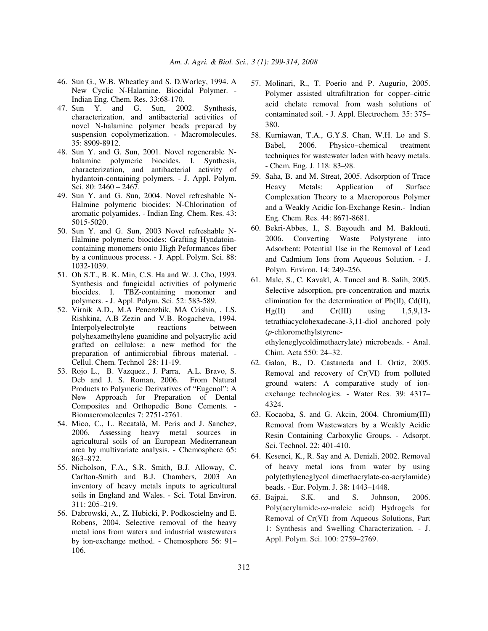- 46. Sun G., W.B. Wheatley and S. D.Worley, 1994. A New Cyclic N-Halamine. Biocidal Polymer. - Indian Eng. Chem. Res. 33:68-170.
- 47. Sun Y. and G. Sun, 2002. Synthesis, characterization, and antibacterial activities of novel N-halamine polymer beads prepared by suspension copolymerization. - Macromolecules. 35: 8909-8912.
- 48. Sun Y. and G. Sun, 2001. Novel regenerable Nhalamine polymeric biocides. I. Synthesis, characterization, and antibacterial activity of hydantoin-containing polymers. - J. Appl. Polym. Sci. 80: 2460 – 2467.
- 49. Sun Y. and G. Sun, 2004. Novel refreshable N-Halmine polymeric biocides: N-Chlorination of aromatic polyamides. - Indian Eng. Chem. Res. 43: 5015-5020.
- 50. Sun Y. and G. Sun, 2003 Novel refreshable N-Halmine polymeric biocides: Grafting Hyndatoincontaining monomers onto High Peformances fiber by a continuous process. - J. Appl. Polym. Sci. 88: 1032-1039.
- 51. Oh S.T., B. K. Min, C.S. Ha and W. J. Cho, 1993. Synthesis and fungicidal activities of polymeric biocides. I. TBZ-containing monomer and polymers. - J. Appl. Polym. Sci. 52: 583-589.
- 52. Virnik A.D., M.A Penenzhik, MA Crishin, , I.S. Rishkina, A.B Zezin and V.B. Rogacheva, 1994. Interpolyelectrolyte reactions between polyhexamethylene guanidine and polyacrylic acid grafted on cellulose: a new method for the preparation of antimicrobial fibrous material. - Cellul. Chem. Technol 28: 11-19.
- 53. Rojo L., B. Vazquez., J. Parra, A.L. Bravo, S. Deb and J. S. Roman, 2006. From Natural Products to Polymeric Derivatives of "Eugenol": A New Approach for Preparation of Dental Composites and Orthopedic Bone Cements. - Biomacromolecules 7: 2751-2761.
- 54. Mico, C., L. Recatalà, M. Peris and J. Sanchez, 2006. Assessing heavy metal sources in agricultural soils of an European Mediterranean area by multivariate analysis. - Chemosphere 65: 863–872.
- 55. Nicholson, F.A., S.R. Smith, B.J. Alloway, C. Carlton-Smith and B.J. Chambers, 2003 An inventory of heavy metals inputs to agricultural soils in England and Wales. - Sci. Total Environ. 311: 205–219.
- 56. Dabrowski, A., Z. Hubicki, P. Podkoscielny and E. Robens, 2004. Selective removal of the heavy metal ions from waters and industrial wastewaters by ion-exchange method. - Chemosphere 56: 91– 106.
- 57. Molinari, R., T. Poerio and P. Augurio, 2005. Polymer assisted ultrafiltration for copper–citric acid chelate removal from wash solutions of contaminated soil. - J. Appl. Electrochem. 35: 375– 380.
- 58. Kurniawan, T.A., G.Y.S. Chan, W.H. Lo and S. Babel, 2006. Physico–chemical treatment techniques for wastewater laden with heavy metals. - Chem. Eng. J. 118: 83–98.
- 59. Saha, B. and M. Streat, 2005. Adsorption of Trace Heavy Metals: Application of Surface Complexation Theory to a Macroporous Polymer and a Weakly Acidic Ion-Exchange Resin.- Indian Eng. Chem. Res. 44: 8671-8681.
- 60. Bekri-Abbes, I., S. Bayoudh and M. Baklouti, 2006. Converting Waste Polystyrene into Adsorbent: Potential Use in the Removal of Lead and Cadmium Ions from Aqueous Solution. - J. Polym. Environ. 14: 249–256.
- 61. Malc, S., C. Kavakl, A. Tuncel and B. Salih, 2005. Selective adsorption, pre-concentration and matrix elimination for the determination of Pb(II), Cd(II),  $Hg(II)$  and  $Cr(III)$  using  $1,5,9,13$ tetrathiacyclohexadecane-3,11-diol anchored poly (*p*-chloromethylstyreneethyleneglycoldimethacrylate) microbeads. - Anal. Chim. Acta 550: 24–32.
- 62. Galan, B., D. Castaneda and I. Ortiz, 2005. Removal and recovery of Cr(VI) from polluted ground waters: A comparative study of ionexchange technologies. - Water Res. 39: 4317– 4324.
- 63. Kocaoba, S. and G. Akcin, 2004. Chromium(III) Removal from Wastewaters by a Weakly Acidic Resin Containing Carboxylic Groups. - Adsorpt. Sci. Technol. 22: 401-410.
- 64. Kesenci, K., R. Say and A. Denizli, 2002. Removal of heavy metal ions from water by using poly(ethyleneglycol dimethacrylate-co-acrylamide) beads. - Eur. Polym. J. 38: 1443–1448.
- 65. Bajpai, S.K. and S. Johnson, 2006. Poly(acrylamide-*co*-maleic acid) Hydrogels for Removal of Cr(VI) from Aqueous Solutions, Part 1: Synthesis and Swelling Characterization. - J. Appl. Polym. Sci. 100: 2759–2769.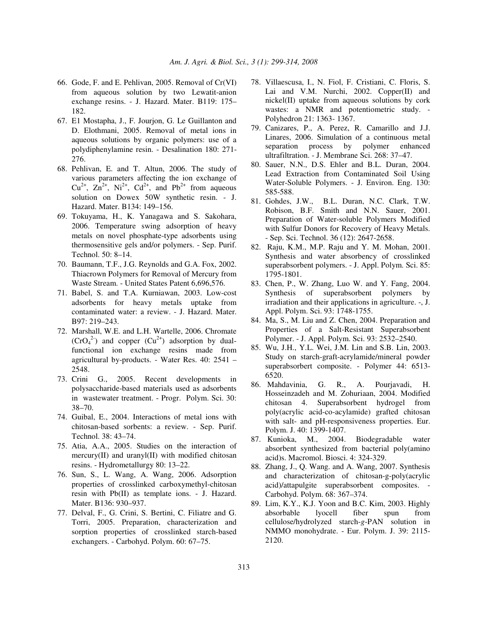- 66. Gode, F. and E. Pehlivan, 2005. Removal of Cr(VI) from aqueous solution by two Lewatit-anion exchange resins. - J. Hazard. Mater. B119: 175– 182.
- 67. E1 Mostapha, J., F. Jourjon, G. Le Guillanton and D. Elothmani, 2005. Removal of metal ions in aqueous solutions by organic polymers: use of a polydiphenylamine resin. - Desalination 180: 271- 276.
- 68. Pehlivan, E. and T. Altun, 2006. The study of various parameters affecting the ion exchange of  $Cu^{2+}$ ,  $Zn^{2+}$ ,  $Ni^{2+}$ ,  $Cd^{2+}$ , and  $Pb^{2+}$  from aqueous solution on Dowex 50W synthetic resin. - J. Hazard. Mater. B134: 149–156.
- 69. Tokuyama, H., K. Yanagawa and S. Sakohara, 2006. Temperature swing adsorption of heavy metals on novel phosphate-type adsorbents using thermosensitive gels and/or polymers. - Sep. Purif. Technol. 50: 8–14.
- 70. Baumann, T.F., J.G. Reynolds and G.A. Fox, 2002. Thiacrown Polymers for Removal of Mercury from Waste Stream. - United States Patent 6,696,576.
- 71. Babel, S. and T.A. Kurniawan, 2003. Low-cost adsorbents for heavy metals uptake from contaminated water: a review. - J. Hazard. Mater. B97: 219–243.
- 72. Marshall, W.E. and L.H. Wartelle, 2006. Chromate  $(CrO<sub>4</sub><sup>2</sup>)$  and copper  $(Cu<sup>2+</sup>)$  adsorption by dualfunctional ion exchange resins made from agricultural by-products. - Water Res. 40: 2541 – 2548.
- 73. Crini G., 2005. Recent developments in polysaccharide-based materials used as adsorbents in wastewater treatment. - Progr. Polym. Sci. 30: 38–70.
- 74. Guibal, E., 2004. Interactions of metal ions with chitosan-based sorbents: a review. - Sep. Purif. Technol. 38: 43–74.
- 75. Atia, A.A., 2005. Studies on the interaction of mercury(II) and uranyl(II) with modified chitosan resins. - Hydrometallurgy 80: 13–22.
- 76. Sun, S., L. Wang, A. Wang, 2006. Adsorption properties of crosslinked carboxymethyl-chitosan resin with Pb(II) as template ions. - J. Hazard. Mater. B136: 930–937.
- 77. Delval, F., G. Crini, S. Bertini, C. Filiatre and G. Torri, 2005. Preparation, characterization and sorption properties of crosslinked starch-based exchangers. - Carbohyd. Polym. 60: 67–75.
- 78. Villaescusa, I., N. Fiol, F. Cristiani, C. Floris, S. Lai and V.M. Nurchi, 2002. Copper(II) and nickel(II) uptake from aqueous solutions by cork wastes: a NMR and potentiometric study. - Polyhedron 21: 1363-1367.
- 79. Canizares, P., A. Perez, R. Camarillo and J.J. Linares, 2006. Simulation of a continuous metal separation process by polymer enhanced ultrafiltration. - J. Membrane Sci. 268: 37–47.
- 80. Sauer, N.N., D.S. Ehler and B.L. Duran, 2004. Lead Extraction from Contaminated Soil Using Water-Soluble Polymers. - J. Environ. Eng. 130: 585-588.
- 81. Gohdes, J.W., B.L. Duran, N.C. Clark, T.W. Robison, B.F. Smith and N.N. Sauer, 2001. Preparation of Water-soluble Polymers Modified with Sulfur Donors for Recovery of Heavy Metals. - Sep. Sci. Technol. 36 (12): 2647-2658.
- 82. Raju, K.M., M.P. Raju and Y. M. Mohan, 2001. Synthesis and water absorbency of crosslinked superabsorbent polymers. - J. Appl. Polym. Sci. 85: 1795-1801.
- 83. Chen, P., W. Zhang, Luo W. and Y. Fang, 2004. Synthesis of superabsorbent polymers by irradiation and their applications in agriculture. -, J. Appl. Polym. Sci. 93: 1748-1755.
- 84. Ma, S., M. Liu and Z. Chen, 2004. Preparation and Properties of a Salt-Resistant Superabsorbent Polymer. - J. Appl. Polym. Sci. 93: 2532–2540.
- 85. Wu, J.H., Y.L. Wei, J.M. Lin and S.B. Lin, 2003. Study on starch-graft-acrylamide/mineral powder superabsorbert composite. - Polymer 44: 6513- 6520.
- 86. Mahdavinia, G. R., A. Pourjavadi, H. Hosseinzadeh and M. Zohuriaan, 2004. Modified chitosan 4. Superabsorbent hydrogel from poly(acrylic acid-co-acylamide) grafted chitosan with salt- and pH-responsiveness properties. Eur. Polym. J. 40: 1399-1407.
- 87. Kunioka, M., 2004. Biodegradable water absorbent synthesized from bacterial poly(amino acid)s. Macromol. Biosci. 4: 324-329.
- 88. Zhang, J., Q. Wang. and A. Wang, 2007. Synthesis and characterization of chitosan-g-poly(acrylic acid)/attapulgite superabsorbent composites. - Carbohyd. Polym. 68: 367–374.
- 89. Lim, K.Y., K.J. Yoon and B.C. Kim, 2003. Highly absorbable lyocell fiber spun from cellulose/hydrolyzed starch-*g*-PAN solution in NMMO monohydrate. - Eur. Polym. J. 39: 2115- 2120.